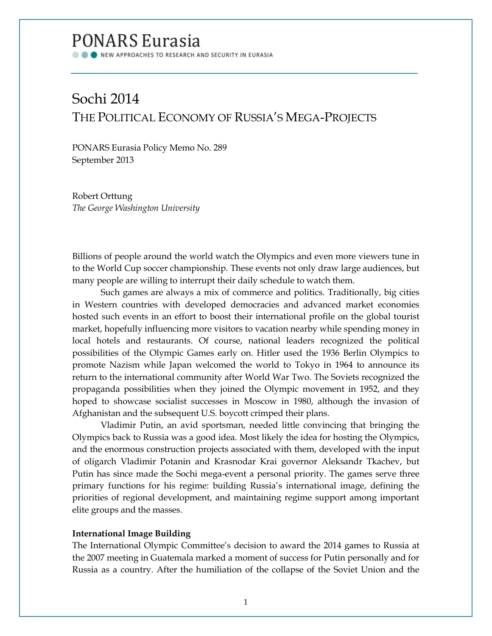# **PONARS Eurasia**

NEW APPROACHES TO RESEARCH AND SECURITY IN EURASIA

## Sochi 2014 THE POLITICAL ECONOMY OF RUSSIA'S MEGA-PROJECTS

PONARS Eurasia Policy Memo No. 289 September 2013

Robert Orttung *The George Washington University*

Billions of people around the world watch the Olympics and even more viewers tune in to the World Cup soccer championship. These events not only draw large audiences, but many people are willing to interrupt their daily schedule to watch them.

Such games are always a mix of commerce and politics. Traditionally, big cities in Western countries with developed democracies and advanced market economies hosted such events in an effort to boost their international profile on the global tourist market, hopefully influencing more visitors to vacation nearby while spending money in local hotels and restaurants. Of course, national leaders recognized the political possibilities of the Olympic Games early on. Hitler used the 1936 Berlin Olympics to promote Nazism while Japan welcomed the world to Tokyo in 1964 to announce its return to the international community after World War Two. The Soviets recognized the propaganda possibilities when they joined the Olympic movement in 1952, and they hoped to showcase socialist successes in Moscow in 1980, although the invasion of Afghanistan and the subsequent U.S. boycott crimped their plans.

Vladimir Putin, an avid sportsman, needed little convincing that bringing the Olympics back to Russia was a good idea. Most likely the idea for hosting the Olympics, and the enormous construction projects associated with them, developed with the input of oligarch Vladimir Potanin and Krasnodar Krai governor Aleksandr Tkachev, but Putin has since made the Sochi mega-event a personal priority. The games serve three primary functions for his regime: building Russia's international image, defining the priorities of regional development, and maintaining regime support among important elite groups and the masses.

## **International Image Building**

The International Olympic Committee's decision to award the 2014 games to Russia at the 2007 meeting in Guatemala marked a moment of success for Putin personally and for Russia as a country. After the humiliation of the collapse of the Soviet Union and the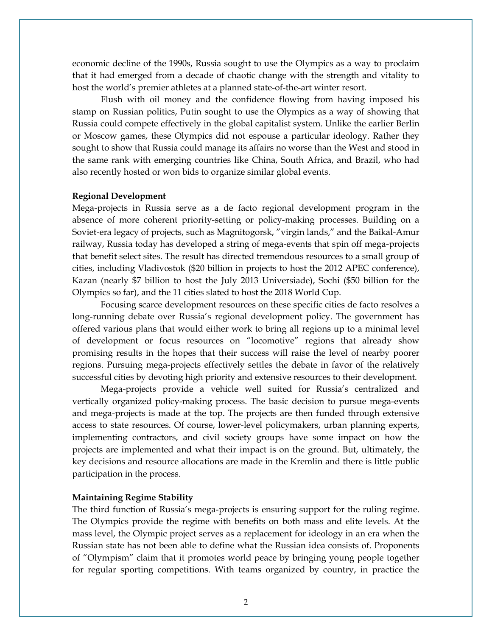economic decline of the 1990s, Russia sought to use the Olympics as a way to proclaim that it had emerged from a decade of chaotic change with the strength and vitality to host the world's premier athletes at a planned state-of-the-art winter resort.

Flush with oil money and the confidence flowing from having imposed his stamp on Russian politics, Putin sought to use the Olympics as a way of showing that Russia could compete effectively in the global capitalist system. Unlike the earlier Berlin or Moscow games, these Olympics did not espouse a particular ideology. Rather they sought to show that Russia could manage its affairs no worse than the West and stood in the same rank with emerging countries like China, South Africa, and Brazil, who had also recently hosted or won bids to organize similar global events.

#### **Regional Development**

Mega-projects in Russia serve as a de facto regional development program in the absence of more coherent priority-setting or policy-making processes. Building on a Soviet-era legacy of projects, such as Magnitogorsk, "virgin lands," and the Baikal-Amur railway, Russia today has developed a string of mega-events that spin off mega-projects that benefit select sites. The result has directed tremendous resources to a small group of cities, including Vladivostok (\$20 billion in projects to host the 2012 APEC conference), Kazan (nearly \$7 billion to host the July 2013 Universiade), Sochi (\$50 billion for the Olympics so far), and the 11 cities slated to host the 2018 World Cup.

Focusing scarce development resources on these specific cities de facto resolves a long-running debate over Russia's regional development policy. The government has offered various plans that would either work to bring all regions up to a minimal level of development or focus resources on "locomotive" regions that already show promising results in the hopes that their success will raise the level of nearby poorer regions. Pursuing mega-projects effectively settles the debate in favor of the relatively successful cities by devoting high priority and extensive resources to their development.

Mega-projects provide a vehicle well suited for Russia's centralized and vertically organized policy-making process. The basic decision to pursue mega-events and mega-projects is made at the top. The projects are then funded through extensive access to state resources. Of course, lower-level policymakers, urban planning experts, implementing contractors, and civil society groups have some impact on how the projects are implemented and what their impact is on the ground. But, ultimately, the key decisions and resource allocations are made in the Kremlin and there is little public participation in the process.

#### **Maintaining Regime Stability**

The third function of Russia's mega-projects is ensuring support for the ruling regime. The Olympics provide the regime with benefits on both mass and elite levels. At the mass level, the Olympic project serves as a replacement for ideology in an era when the Russian state has not been able to define what the Russian idea consists of. Proponents of "Olympism" claim that it promotes world peace by bringing young people together for regular sporting competitions. With teams organized by country, in practice the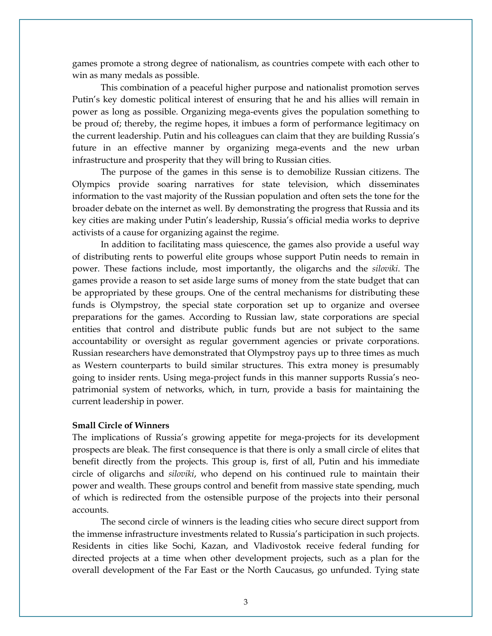games promote a strong degree of nationalism, as countries compete with each other to win as many medals as possible.

This combination of a peaceful higher purpose and nationalist promotion serves Putin's key domestic political interest of ensuring that he and his allies will remain in power as long as possible. Organizing mega-events gives the population something to be proud of; thereby, the regime hopes, it imbues a form of performance legitimacy on the current leadership. Putin and his colleagues can claim that they are building Russia's future in an effective manner by organizing mega-events and the new urban infrastructure and prosperity that they will bring to Russian cities.

The purpose of the games in this sense is to demobilize Russian citizens. The Olympics provide soaring narratives for state television, which disseminates information to the vast majority of the Russian population and often sets the tone for the broader debate on the internet as well. By demonstrating the progress that Russia and its key cities are making under Putin's leadership, Russia's official media works to deprive activists of a cause for organizing against the regime.

In addition to facilitating mass quiescence, the games also provide a useful way of distributing rents to powerful elite groups whose support Putin needs to remain in power. These factions include, most importantly, the oligarchs and the *siloviki*. The games provide a reason to set aside large sums of money from the state budget that can be appropriated by these groups. One of the central mechanisms for distributing these funds is Olympstroy, the special state corporation set up to organize and oversee preparations for the games. According to Russian law, state corporations are special entities that control and distribute public funds but are not subject to the same accountability or oversight as regular government agencies or private corporations. Russian researchers have demonstrated that Olympstroy pays up to three times as much as Western counterparts to build similar structures. This extra money is presumably going to insider rents. Using mega-project funds in this manner supports Russia's neopatrimonial system of networks, which, in turn, provide a basis for maintaining the current leadership in power.

## **Small Circle of Winners**

The implications of Russia's growing appetite for mega-projects for its development prospects are bleak. The first consequence is that there is only a small circle of elites that benefit directly from the projects. This group is, first of all, Putin and his immediate circle of oligarchs and *siloviki*, who depend on his continued rule to maintain their power and wealth. These groups control and benefit from massive state spending, much of which is redirected from the ostensible purpose of the projects into their personal accounts.

The second circle of winners is the leading cities who secure direct support from the immense infrastructure investments related to Russia's participation in such projects. Residents in cities like Sochi, Kazan, and Vladivostok receive federal funding for directed projects at a time when other development projects, such as a plan for the overall development of the Far East or the North Caucasus, go unfunded. Tying state